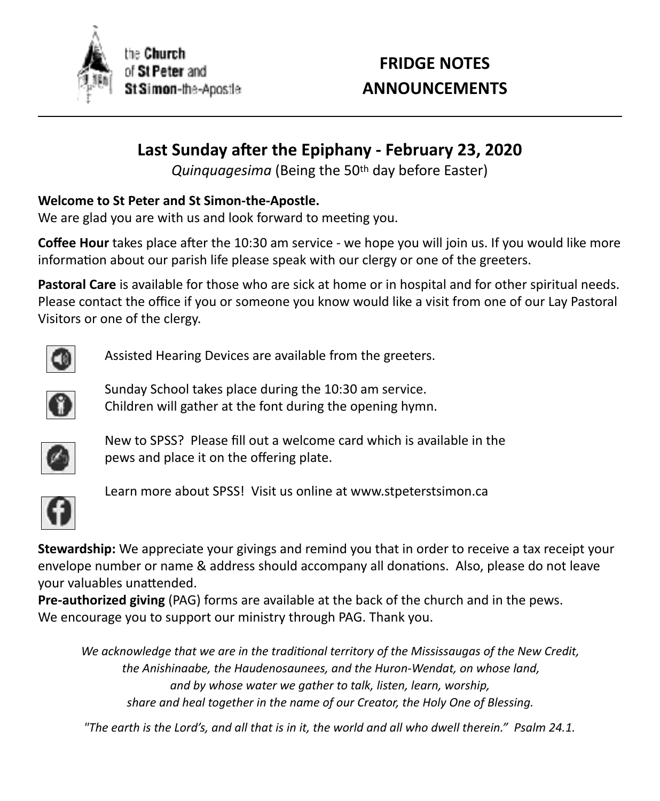

# **FRIDGE NOTES ANNOUNCEMENTS**

# Last Sunday after the Epiphany - February 23, 2020

*Quinquagesima* (Being the 50<sup>th</sup> day before Easter)

### **Welcome to St Peter and St Simon-the-Apostle.**

We are glad you are with us and look forward to meeting you.

**Coffee Hour** takes place after the 10:30 am service - we hope you will join us. If you would like more information about our parish life please speak with our clergy or one of the greeters.

Pastoral Care is available for those who are sick at home or in hospital and for other spiritual needs. Please contact the office if you or someone you know would like a visit from one of our Lay Pastoral Visitors or one of the clergy.



Assisted Hearing Devices are available from the greeters.



Sunday School takes place during the 10:30 am service. Children will gather at the font during the opening hymn.



 $\bullet$  pews and place it on the offering plate. New to SPSS? Please fill out a welcome card which is available in the



Learn more about SPSS! Visit us online at www.stpeterstsimon.ca

**Stewardship:** We appreciate your givings and remind you that in order to receive a tax receipt your envelope number or name & address should accompany all donations. Also, please do not leave your valuables unattended.

**Pre-authorized giving** (PAG) forms are available at the back of the church and in the pews. We encourage you to support our ministry through PAG. Thank you.

We acknowledge that we are in the traditional territory of the Mississaugas of the New Credit, the Anishinaabe, the Haudenosaunees, and the Huron-Wendat, on whose land, and by whose water we gather to talk, listen, learn, worship, *share and heal together in the name of our Creator, the Holy One of Blessing.* 

*"The earth is the Lord's, and all that is in it, the world and all who dwell therein." Psalm 24.1.*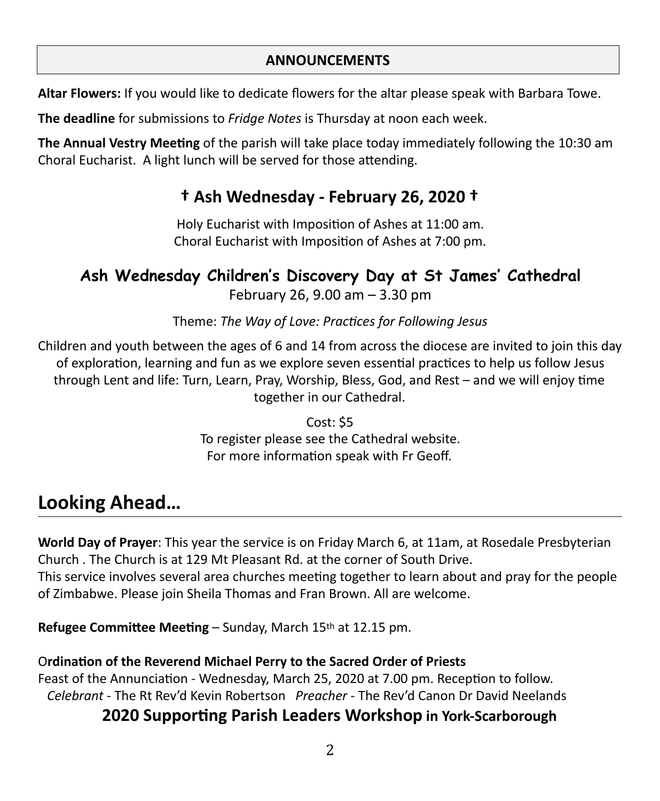#### **ANNOUNCEMENTS**

Altar Flowers: If you would like to dedicate flowers for the altar please speak with Barbara Towe.

**The deadline** for submissions to *Fridge Notes* is Thursday at noon each week.

**The Annual Vestry Meeting** of the parish will take place today immediately following the 10:30 am Choral Eucharist. A light lunch will be served for those attending.

# **† Ash Wednesday - February 26, 2020 †**

Holy Eucharist with Imposition of Ashes at 11:00 am. Choral Eucharist with Imposition of Ashes at 7:00 pm.

# **Ash Wednesday Children's Discovery Day at St James' Cathedral**

February 26, 9.00 am  $-3.30$  pm

Theme: The Way of Love: Practices for Following Jesus

Children and youth between the ages of 6 and 14 from across the diocese are invited to join this day of exploration, learning and fun as we explore seven essential practices to help us follow Jesus through Lent and life: Turn, Learn, Pray, Worship, Bless, God, and Rest  $-$  and we will enjoy time together in our Cathedral.

> $Cost: $5$ To register please see the Cathedral website. For more information speak with Fr Geoff.

# Looking Ahead...

**World Day of Prayer:** This year the service is on Friday March 6, at 11am, at Rosedale Presbyterian Church . The Church is at 129 Mt Pleasant Rd. at the corner of South Drive. This service involves several area churches meeting together to learn about and pray for the people of Zimbabwe. Please join Sheila Thomas and Fran Brown. All are welcome.

**Refugee Committee Meeting – Sunday, March 15th at 12.15 pm.** 

## **Ordination of the Reverend Michael Perry to the Sacred Order of Priests**

Feast of the Annunciation - Wednesday, March 25, 2020 at 7.00 pm. Reception to follow. Celebrant - The Rt Rev'd Kevin Robertson Preacher - The Rev'd Canon Dr David Neelands

## **2020 Supporting Parish Leaders Workshop in York-Scarborough**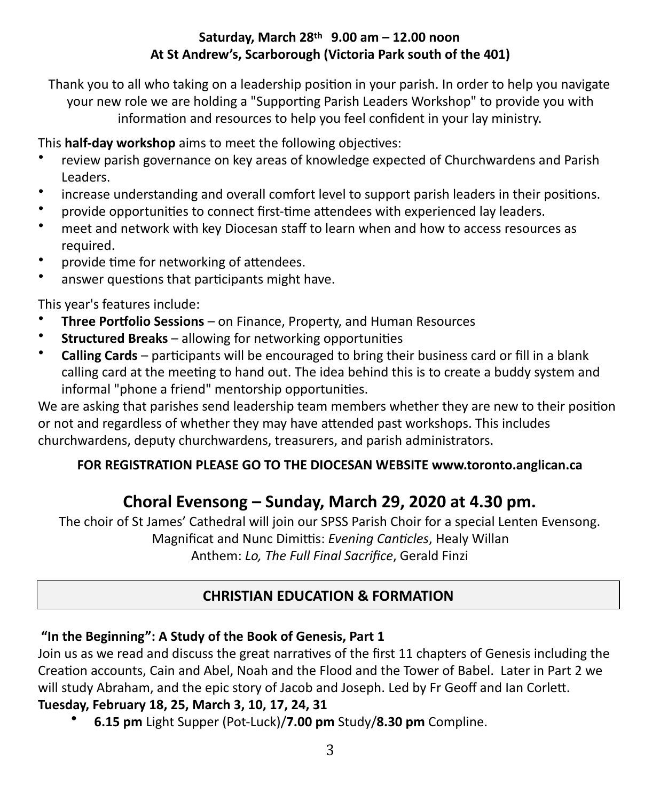#### Saturday, March 28<sup>th</sup> 9.00 am - 12.00 noon At St Andrew's, Scarborough (Victoria Park south of the 401)

Thank you to all who taking on a leadership position in your parish. In order to help you navigate your new role we are holding a "Supporting Parish Leaders Workshop" to provide you with information and resources to help you feel confident in your lay ministry.

This **half-day workshop** aims to meet the following objectives:

- review parish governance on key areas of knowledge expected of Churchwardens and Parish Leaders.
- increase understanding and overall comfort level to support parish leaders in their positions.
- provide opportunities to connect first-time attendees with experienced lay leaders.
- meet and network with key Diocesan staff to learn when and how to access resources as required.
- provide time for networking of attendees.
- answer questions that participants might have.

This year's features include:

- **Three Portfolio Sessions** on Finance, Property, and Human Resources
- **Structured Breaks** allowing for networking opportunities
- **Calling Cards** participants will be encouraged to bring their business card or fill in a blank calling card at the meeting to hand out. The idea behind this is to create a buddy system and informal "phone a friend" mentorship opportunities.

We are asking that parishes send leadership team members whether they are new to their position or not and regardless of whether they may have attended past workshops. This includes churchwardens, deputy churchwardens, treasurers, and parish administrators.

#### FOR REGISTRATION PLEASE GO TO THE DIOCESAN WEBSITE www.toronto.anglican.ca

## Choral Evensong – Sunday, March 29, 2020 at 4.30 pm.

The choir of St James' Cathedral will join our SPSS Parish Choir for a special Lenten Evensong. Magnificat and Nunc Dimittis: *Evening Canticles*, Healy Willan Anthem: *Lo, The Full Final Sacrifice*, Gerald Finzi

## **CHRISTIAN EDUCATION & FORMATION**

## "In the Beginning": A Study of the Book of Genesis, Part 1

Join us as we read and discuss the great narratives of the first 11 chapters of Genesis including the Creation accounts, Cain and Abel, Noah and the Flood and the Tower of Babel. Later in Part 2 we will study Abraham, and the epic story of Jacob and Joseph. Led by Fr Geoff and Ian Corlett. **Tuesday, February 18, 25, March 3, 10, 17, 24, 31**

• **6.15 pm** Light Supper (Pot-Luck)/**7.00 pm** Study/**8.30 pm** Compline.